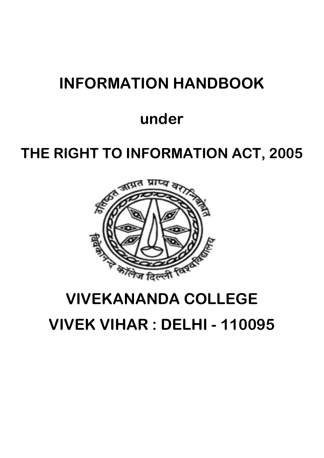# **INFORMATION HANDBOOK**

# **under**

# **THE RIGHT TO INFORMATION ACT, 2005**



# **VIVEKANANDA COLLEGE**

**VIVEK VIHAR : DELHI - 110095**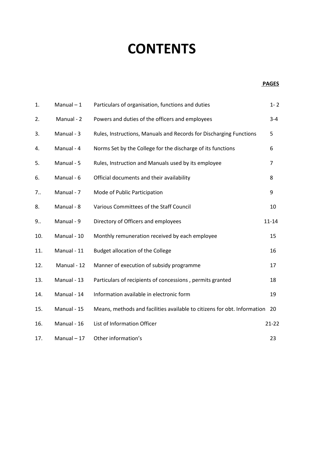# **CONTENTS**

### **PAGES**

| 1.  | Manual $-1$ | Particulars of organisation, functions and duties                        | $1 - 2$        |
|-----|-------------|--------------------------------------------------------------------------|----------------|
| 2.  | Manual - 2  | Powers and duties of the officers and employees                          | $3 - 4$        |
| 3.  | Manual - 3  | Rules, Instructions, Manuals and Records for Discharging Functions       | 5              |
| 4.  | Manual - 4  | Norms Set by the College for the discharge of its functions              | 6              |
| 5.  | Manual - 5  | Rules, Instruction and Manuals used by its employee                      | $\overline{7}$ |
| 6.  | Manual - 6  | Official documents and their availability                                | 8              |
| 7   | Manual - 7  | Mode of Public Participation                                             | 9              |
| 8.  | Manual - 8  | Various Committees of the Staff Council                                  | 10             |
| 9   | Manual - 9  | Directory of Officers and employees                                      | $11 - 14$      |
| 10. | Manual - 10 | Monthly remuneration received by each employee                           | 15             |
| 11. | Manual - 11 | Budget allocation of the College                                         | 16             |
| 12. | Manual - 12 | Manner of execution of subsidy programme                                 | 17             |
| 13. | Manual - 13 | Particulars of recipients of concessions, permits granted                | 18             |
| 14. | Manual - 14 | Information available in electronic form                                 | 19             |
| 15. | Manual - 15 | Means, methods and facilities available to citizens for obt. Information | 20             |
| 16. | Manual - 16 | List of Information Officer                                              | $21 - 22$      |
| 17. | Manual - 17 | Other information's                                                      | 23             |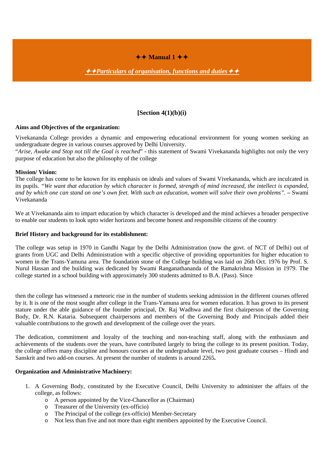## $\leftrightarrow$  Manual 1  $\leftrightarrow$

**→ → Particulars of organisation, functions and duties** → →

## **[Section 4(1)(b)(i)**

#### **Aims and Objectives of the organization:**

Vivekananda College provides a dynamic and empowering educational environment for young women seeking an undergraduate degree in various courses approved by Delhi University.

"*Arise, Awake and Stop not till the Goal is reached*" **-** this statement of Swami Vivekananda highlights not only the very purpose of education but also the philosophy of the college

#### **Mission/ Vision:**

The college has come to be known for its emphasis on ideals and values of Swami Vivekananda, which are inculcated in its pupils. "We want that education by which character is formed, strength of mind increased, the intellect is expanded, and by which one can stand on one's own feet. With such an education, women will solve their own problems". – Swami Vivekananda

We at Vivekananda aim to impart education by which character is developed and the mind achieves a broader perspective to enable our students to look upto wider horizons and become honest and responsible citizens of the country

#### **Brief History and background for its establishment:**

The college was setup in 1970 in Gandhi Nagar by the Delhi Administration (now the govt. of NCT of Delhi) out of grants from UGC and Delhi Administration with a specific objective of providing opportunities for higher education to women in the Trans-Yamuna area. The foundation stone of the College building was laid on 26th Oct. 1976 by Prof. S. Nurul Hassan and the building was dedicated by Swami Ranganathananda of the Ramakrishna Mission in 1979. The college started in a school building with approximately 300 students admitted to B.A. (Pass). Since

then the college has witnessed a meteoric rise in the number of students seeking admission in the different courses offered by it. It is one of the most sought after college in the Trans-Yamuna area for women education. It has grown to its present stature under the able guidance of the founder principal, Dr. Raj Wadhwa and the first chairperson of the Governing Body, Dr. R.N. Kataria. Subsequent chairpersons and members of the Governing Body and Principals added their valuable contributions to the growth and development of the college over the years.

The dedication, commitment and loyalty of the teaching and non-teaching staff, along with the enthusiasm and achievements of the students over the years, have contributed largely to bring the college to its present position. Today, the college offers many discipline and honours courses at the undergraduate level, two post graduate courses – Hindi and Sanskrit and two add-on courses. At present the number of students is around 2265**.**

### **Organization and Administrative Machinery:**

- 1. A Governing Body, constituted by the Executive Council, Delhi University to administer the affairs of the college, as follows:
	- o A person appointed by the Vice-Chancellor as (Chairman)
	- o Treasurer of the University (ex-officio)
	- o The Principal of the college (ex-officio) Member-Secretary
	- o Not less than five and not more than eight members appointed by the Executive Council.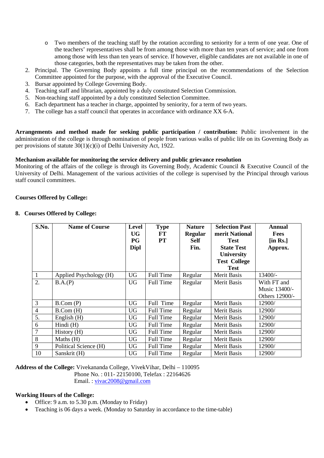- o Two members of the teaching staff by the rotation according to seniority for a term of one year. One of the teachers' representatives shall be from among those with more than ten years of service; and one from among those with less than ten years of service. If however, eligible candidates are not available in one of those categories, both the representatives may be taken from the other.
- 2. Principal. The Governing Body appoints a full time principal on the recommendations of the Selection Committee appointed for the purpose, with the approval of the Executive Council.
- 3. Bursar appointed by College Governing Body.
- 4. Teaching staff and librarian, appointed by a duly constituted Selection Commission.
- 5. Non-teaching staff appointed by a duly constituted Selection Committee.
- 6. Each department has a teacher in charge, appointed by seniority, for a term of two years.
- 7. The college has a staff council that operates in accordance with ordinance XX 6-A.

**Arrangements and method made for seeking public participation / contribution:** Public involvement in the administration of the college is through nomination of people from various walks of public life on its Governing Body as per provisions of statute 30(1)(c)(i) of Delhi University Act, 1922.

#### **Mechanism available for monitoring the service delivery and public grievance resolution**

Monitoring of the affairs of the college is through its Governing Body, Academic Council & Executive Council of the University of Delhi. Management of the various activities of the college is supervised by the Principal through various staff council committees.

### **Courses Offered by College:**

### **8. Courses Offered by College:**

| S.No.          | <b>Name of Course</b>  | <b>Level</b><br><b>UG</b><br>PG<br><b>Dipl</b> | <b>Type</b><br>FT<br><b>PT</b> | <b>Nature</b><br><b>Regular</b><br>Self<br>Fin. | <b>Selection Past</b><br>merit National<br><b>Test</b><br><b>State Test</b><br><b>University</b><br><b>Test College</b><br><b>Test</b> | Annual<br><b>Fees</b><br>$[$ in Rs. $]$<br>Approx. |
|----------------|------------------------|------------------------------------------------|--------------------------------|-------------------------------------------------|----------------------------------------------------------------------------------------------------------------------------------------|----------------------------------------------------|
| $\mathbf{1}$   | Applied Psychology (H) | <b>UG</b>                                      | Full Time                      | Regular                                         | <b>Merit Basis</b>                                                                                                                     | 13400/-                                            |
| 2.             | B.A.(P)                | UG                                             | Full Time                      | Regular                                         | Merit Basis                                                                                                                            | With FT and                                        |
|                |                        |                                                |                                |                                                 |                                                                                                                                        | Music 13400/-                                      |
|                |                        |                                                |                                |                                                 |                                                                                                                                        | Others 12900/-                                     |
| $\mathfrak{Z}$ | B.Com(P)               | <b>UG</b>                                      | Full Time                      | Regular                                         | <b>Merit Basis</b>                                                                                                                     | 12900/                                             |
| $\overline{4}$ | B. Com (H)             | <b>UG</b>                                      | Full Time                      | Regular                                         | <b>Merit Basis</b>                                                                                                                     | 12900/                                             |
| 5.             | English (H)            | <b>UG</b>                                      | Full Time                      | Regular                                         | <b>Merit Basis</b>                                                                                                                     | 12900/                                             |
| 6              | Hindi (H)              | <b>UG</b>                                      | Full Time                      | Regular                                         | <b>Merit Basis</b>                                                                                                                     | 12900/                                             |
| $\overline{7}$ | History (H)            | UG                                             | Full Time                      | Regular                                         | Merit Basis                                                                                                                            | 12900/                                             |
| $\, 8$         | Maths (H)              | <b>UG</b>                                      | Full Time                      | Regular                                         | <b>Merit Basis</b>                                                                                                                     | 12900/                                             |
| 9              | Political Science (H)  | UG                                             | Full Time                      | Regular                                         | <b>Merit Basis</b>                                                                                                                     | 12900/                                             |
| 10             | Sanskrit (H)           | <b>UG</b>                                      | Full Time                      | Regular                                         | <b>Merit Basis</b>                                                                                                                     | 12900/                                             |

**Address of the College:** Vivekananda College, VivekVihar, Delhi – 110095 Phone No. : 011- 22150100, Telefax : 22164626

Email. : [vivac2008@gmail.com](mailto:vivac2008@gmail.com)

#### **Working Hours of the College:**

- Office: 9 a.m. to 5.30 p.m. (Monday to Friday)
- Teaching is 06 days a week. (Monday to Saturday in accordance to the time-table)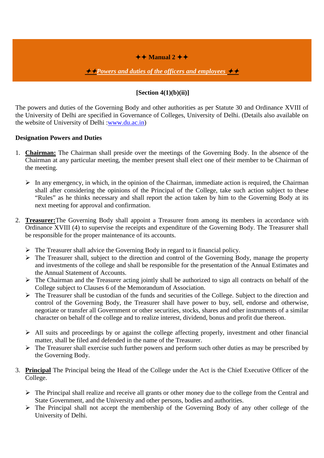## $\leftrightarrow$  Manual 2  $\leftrightarrow$

**→ Powers and duties of the officers and employees** ◆ ↑

## **[Section 4(1)(b)(ii)]**

The powers and duties of the Governing Body and other authorities as per Statute 30 and Ordinance XVIII of the University of Delhi are specified in Governance of Colleges, University of Delhi. (Details also available on the website of University of Delhi [:www.du.ac.in\)](http://www.du.ac.in/)

## **Designation Powers and Duties**

- 1. **Chairman:** The Chairman shall preside over the meetings of the Governing Body. In the absence of the Chairman at any particular meeting, the member present shall elect one of their member to be Chairman of the meeting.
	- $\triangleright$  In any emergency, in which, in the opinion of the Chairman, immediate action is required, the Chairman shall after considering the opinions of the Principal of the College, take such action subject to these "Rules" as he thinks necessary and shall report the action taken by him to the Governing Body at its next meeting for approval and confirmation.
- 2. **Treasurer:**The Governing Body shall appoint a Treasurer from among its members in accordance with Ordinance XVIII (4) to supervise the receipts and expenditure of the Governing Body. The Treasurer shall be responsible for the proper maintenance of its accounts.
	- $\triangleright$  The Treasurer shall advice the Governing Body in regard to it financial policy.
	- $\triangleright$  The Treasurer shall, subject to the direction and control of the Governing Body, manage the property and investments of the college and shall be responsible for the presentation of the Annual Estimates and the Annual Statement of Accounts.
	- $\triangleright$  The Chairman and the Treasurer acting jointly shall be authorized to sign all contracts on behalf of the College subject to Clauses 6 of the Memorandum of Association.
	- $\triangleright$  The Treasurer shall be custodian of the funds and securities of the College. Subject to the direction and control of the Governing Body, the Treasurer shall have power to buy, sell, endorse and otherwise, negotiate or transfer all Government or other securities, stocks, shares and other instruments of a similar character on behalf of the college and to realize interest, dividend, bonus and profit due thereon.
	- $\triangleright$  All suits and proceedings by or against the college affecting properly, investment and other financial matter, shall be filed and defended in the name of the Treasurer.
	- $\triangleright$  The Treasurer shall exercise such further powers and perform such other duties as may be prescribed by the Governing Body.
- 3. **Principal** The Principal being the Head of the College under the Act is the Chief Executive Officer of the College.
	- $\triangleright$  The Principal shall realize and receive all grants or other money due to the college from the Central and State Government, and the University and other persons, bodies and authorities.
	- $\triangleright$  The Principal shall not accept the membership of the Governing Body of any other college of the University of Delhi.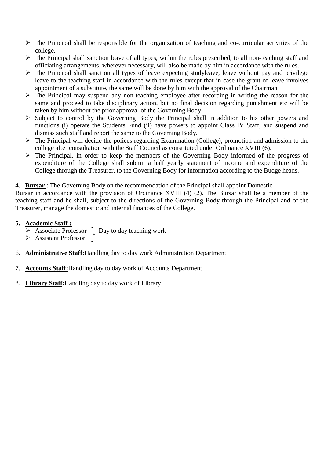- $\triangleright$  The Principal shall be responsible for the organization of teaching and co-curricular activities of the college.
- $\triangleright$  The Principal shall sanction leave of all types, within the rules prescribed, to all non-teaching staff and officiating arrangements, wherever necessary, will also be made by him in accordance with the rules.
- $\triangleright$  The Principal shall sanction all types of leave expecting studyleave, leave without pay and privilege leave to the teaching staff in accordance with the rules except that in case the grant of leave involves appointment of a substitute, the same will be done by him with the approval of the Chairman.
- $\triangleright$  The Principal may suspend any non-teaching employee after recording in writing the reason for the same and proceed to take disciplinary action, but no final decision regarding punishment etc will be taken by him without the prior approval of the Governing Body.
- $\triangleright$  Subject to control by the Governing Body the Principal shall in addition to his other powers and functions (i) operate the Students Fund (ii) have powers to appoint Class IV Staff, and suspend and dismiss such staff and report the same to the Governing Body.
- The Principal will decide the polices regarding Examination (College), promotion and admission to the college after consultation with the Staff Council as constituted under Ordinance XVIII (6).
- $\triangleright$  The Principal, in order to keep the members of the Governing Body informed of the progress of expenditure of the College shall submit a half yearly statement of income and expenditure of the College through the Treasurer, to the Governing Body for information according to the Budge heads.

4. **Bursar** : The Governing Body on the recommendation of the Principal shall appoint Domestic

Bursar in accordance with the provision of Ordinance XVIII (4) (2). The Bursar shall be a member of the teaching staff and he shall, subject to the directions of the Governing Body through the Principal and of the Treasurer, manage the domestic and internal finances of the College.

## **5. Academic Staff :**

- $\triangleright$  Associate Professor  $\cdot$  Day to day teaching work
- $\triangleright$  Assistant Professor
- 6. **Administrative Staff:**Handling day to day work Administration Department
- 7. **Accounts Staff:**Handling day to day work of Accounts Department
- 8. **Library Staff:**Handling day to day work of Library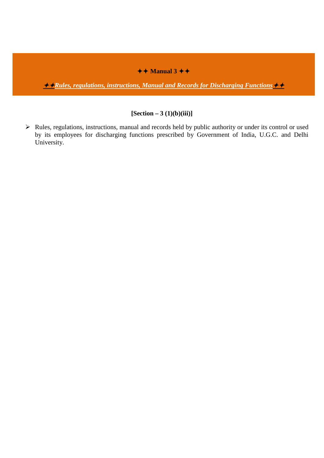# $\leftrightarrow$  Manual 3  $\leftrightarrow$

*Kaules, regulations, instructions, Manual and Records for Discharging Functions* 

## **[Section – 3 (1)(b)(iii)]**

 $\triangleright$  Rules, regulations, instructions, manual and records held by public authority or under its control or used by its employees for discharging functions prescribed by Government of India, U.G.C. and Delhi University.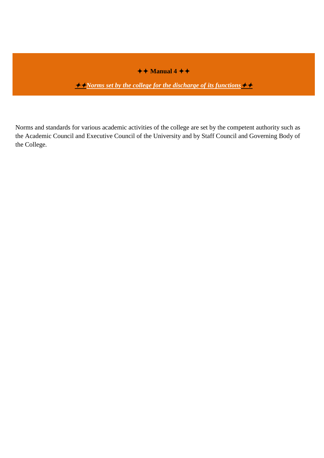# $\overline{\text{A + Manual}}$

*<u><i>Alorms set by the college for the discharge of its functions*</u>

Norms and standards for various academic activities of the college are set by the competent authority such as the Academic Council and Executive Council of the University and by Staff Council and Governing Body of the College.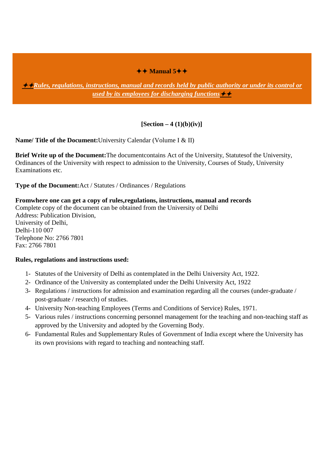## $\leftrightarrow$  Manual 5<sup> $\leftrightarrow$ </sup>

*Rules, regulations, instructions, manual and records held by public authority or under its control or used by its employees for discharging functions*

## **[Section – 4 (1)(b)(iv)]**

**Name/ Title of the Document:**University Calendar (Volume I & II)

**Brief Write up of the Document:**The documentcontains Act of the University, Statutesof the University, Ordinances of the University with respect to admission to the University, Courses of Study, University Examinations etc.

**Type of the Document:**Act / Statutes / Ordinances / Regulations

**Fromwhere one can get a copy of rules,regulations, instructions, manual and records** Complete copy of the document can be obtained from the University of Delhi Address: Publication Division, University of Delhi, Delhi-110 007 Telephone No: 2766 7801 Fax: 2766 7801

### **Rules, regulations and instructions used:**

- 1- Statutes of the University of Delhi as contemplated in the Delhi University Act, 1922.
- 2- Ordinance of the University as contemplated under the Delhi University Act, 1922
- 3- Regulations / instructions for admission and examination regarding all the courses (under-graduate / post-graduate / research) of studies.
- 4- University Non-teaching Employees (Terms and Conditions of Service) Rules, 1971.
- 5- Various rules / instructions concerning personnel management for the teaching and non-teaching staff as approved by the University and adopted by the Governing Body.
- 6- Fundamental Rules and Supplementary Rules of Government of India except where the University has its own provisions with regard to teaching and nonteaching staff.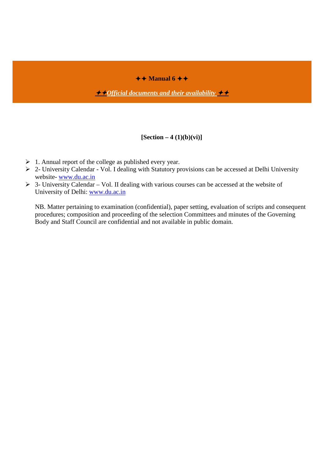$\leftrightarrow$  Manual 6  $\leftrightarrow$ 

**→ →** *Official documents and their availability* 

## **[Section – 4 (1)(b)(vi)]**

- $\geq 1$ . Annual report of the college as published every year.
- $\geq 2$  University Calendar Vol. I dealing with Statutory provisions can be accessed at Delhi University website- [www.du.ac.in](http://www.du.ac.in/)
- $\geq$  3- University Calendar Vol. II dealing with various courses can be accessed at the website of University of Delhi: [www.du.ac.in](http://www.du.ac.in/)

NB. Matter pertaining to examination (confidential), paper setting, evaluation of scripts and consequent procedures; composition and proceeding of the selection Committees and minutes of the Governing Body and Staff Council are confidential and not available in public domain.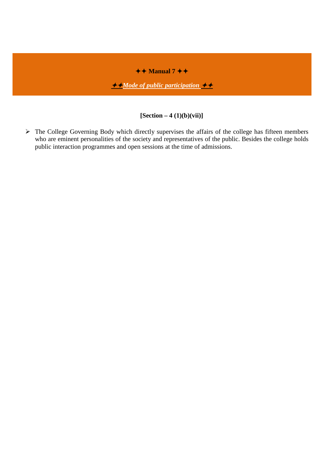# $\leftrightarrow$  Manual 7  $\leftrightarrow$

*Mode of public participation* 

## **[Section – 4 (1)(b)(vii)]**

 $\triangleright$  The College Governing Body which directly supervises the affairs of the college has fifteen members who are eminent personalities of the society and representatives of the public. Besides the college holds public interaction programmes and open sessions at the time of admissions.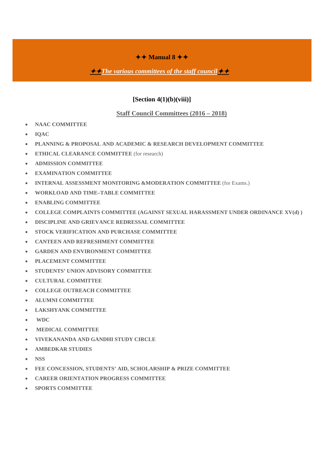## $\leftrightarrow$  Manual 8  $\leftrightarrow$

## $\rightarrow$  *The various committees of the staff council* **→**  $\rightarrow$

## **[Section 4(1)(b)(viii)]**

### **Staff Council Committees (2016 – 2018)**

- **NAAC COMMITTEE**
- **IQAC**
- **PLANNING & PROPOSAL AND ACADEMIC & RESEARCH DEVELOPMENT COMMITTEE**
- **ETHICAL CLEARANCE COMMITTEE** (for research)
- **ADMISSION COMMITTEE**
- **EXAMINATION COMMITTEE**
- **INTERNAL ASSESSMENT MONITORING &MODERATION COMMITTEE** (for Exams.)
- **WORKLOAD AND TIME–TABLE COMMITTEE**
- **ENABLING COMMITTEE**
- **COLLEGE COMPLAINTS COMMITTEE (AGAINST SEXUAL HARASSMENT UNDER ORDINANCE XV(d) )**
- **DISCIPLINE AND GRIEVANCE REDRESSAL COMMITTEE**
- **STOCK VERIFICATION AND PURCHASE COMMITTEE**
- **CANTEEN AND REFRESHMENT COMMITTEE**
- **GARDEN AND ENVIRONMENT COMMITTEE**
- **PLACEMENT COMMITTEE**
- **STUDENTS' UNION ADVISORY COMMITTEE**
- **CULTURAL COMMITTEE**
- **COLLEGE OUTREACH COMMITTEE**
- **ALUMNI COMMITTEE**
- **LAKSHYANK COMMITTEE**
- **WDC**
- **MEDICAL COMMITTEE**
- **VIVEKANANDA AND GANDHI STUDY CIRCLE**
- **AMBEDKAR STUDIES**
- **NSS**
- **FEE CONCESSION, STUDENTS' AID, SCHOLARSHIP & PRIZE COMMITTEE**
- **CAREER ORIENTATION PROGRESS COMMITTEE**
- **SPORTS COMMITTEE**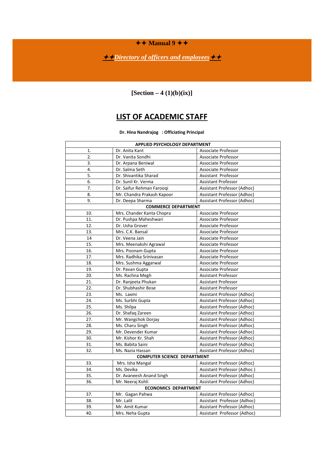$\leftrightarrow$  Manual  $9 + \leftrightarrow$ 

*<u>→ Directory of officers and employees</u>* 

**[Section – 4 (1)(b)(ix)]**

# **LIST OF ACADEMIC STAFF**

**Dr. Hina Nandrajog : Officiating Principal**

| APPLIED PSYCHOLOGY DEPARTMENT         |                                    |                             |  |  |
|---------------------------------------|------------------------------------|-----------------------------|--|--|
| 1.                                    | Dr. Anita Kant                     | Associate Professor         |  |  |
| $\overline{2}$ .<br>Dr. Vanita Sondhi |                                    | Associate Professor         |  |  |
| 3.<br>Dr. Arpana Beniwal              |                                    | <b>Associate Professor</b>  |  |  |
| 4.                                    | Dr. Salma Seth                     | Associate Professor         |  |  |
| 5.                                    | Dr. Shivantika Sharad              | Assistant Professor         |  |  |
| 6.                                    | Dr. Sunil Kr. Verma                | <b>Assistant Professor</b>  |  |  |
| $\overline{7}$ .                      | Dr. Saifur Rehman Farooqi          | Assistant Professor (Adhoc) |  |  |
| 8.                                    | Mr. Chandra Prakash Kapoor         | Assistant Professor (Adhoc) |  |  |
| 9.                                    | Dr. Deepa Sharma                   | Assistant Professor (Adhoc) |  |  |
|                                       | <b>COMMERCE DEPARTMENT</b>         |                             |  |  |
| 10.                                   | Mrs. Chander Kanta Chopra          | Associate Professor         |  |  |
| 11.                                   | Dr. Pushpa Maheshwari              | Associate Professor         |  |  |
| 12.                                   | Dr. Usha Grover                    | <b>Associate Professor</b>  |  |  |
| 13.                                   | Mrs. C.K. Bansal                   | Associate Professor         |  |  |
| 14                                    | Dr. Veena Jain                     | Associate Professor         |  |  |
| 15.                                   | Mrs. Meenakshi Agrawal             | Associate Professor         |  |  |
| 16.                                   | Mrs. Poonam Gupta                  | Associate Professor         |  |  |
| 17.                                   | Mrs. Radhika Srinivasan            | Associate Professor         |  |  |
| 18.                                   | Mrs. Sushma Aggarwal               | Associate Professor         |  |  |
| 19.                                   | Dr. Pavan Gupta                    | Associate Professor         |  |  |
| 20.                                   | Ms. Rachna Megh                    | <b>Assistant Professor</b>  |  |  |
| 21.                                   | Dr. Ranjeeta Phukan                | <b>Assistant Professor</b>  |  |  |
| 22.                                   | Dr. Shubhashir Bose                | <b>Assistant Professor</b>  |  |  |
| 23.                                   | Ms. Laxmi                          | Assistant Professor (Adhoc) |  |  |
| 24.                                   | Ms. Surbhi Gupta                   | Assistant Professor (Adhoc) |  |  |
| 25.                                   | Ms. Shilpa                         | Assistant Professor (Adhoc) |  |  |
| 26.                                   | Dr. Shafaq Zareen                  | Assistant Professor (Adhoc) |  |  |
| 27.                                   | Mr. Wangchok Dorjay                | Assistant Professor (Adhoc) |  |  |
| 28.                                   | Ms. Charu Singh                    | Assistant Professor (Adhoc) |  |  |
| 29.                                   | Mr. Devender Kumar                 | Assistant Professor (Adhoc) |  |  |
| 30.                                   | Mr. Kishor Kr. Shah                | Assistant Professor (Adhoc) |  |  |
| 31.                                   | Ms. Babita Saini                   | Assistant Professor (Adhoc) |  |  |
| 32.                                   | Ms. Nazia Hassan                   | Assistant Professor (Adhoc) |  |  |
|                                       | <b>COMPUTER SCIENCE DEPARTMENT</b> |                             |  |  |
| 33.                                   | Mrs. Isha Mangal                   | Assistant Professor (Adhoc) |  |  |
| 34.                                   | Ms. Devika                         | Assistant Professor (Adhoc) |  |  |
| 35.                                   | Dr. Avaneesh Anand Singh           | Assistant Professor (Adhoc) |  |  |
| 36.                                   | Mr. Neeraj Kohli                   | Assistant Professor (Adhoc) |  |  |
|                                       | <b>ECONOMICS DEPARTMENT</b>        |                             |  |  |
| 37.                                   | Mr. Gagan Pahwa                    | Assistant Professor (Adhoc) |  |  |
| 38.                                   | Mr. Lalit                          | Assistant Professor (Adhoc) |  |  |
| 39.                                   | Mr. Amit Kumar                     | Assistant Professor (Adhoc) |  |  |
| 40.                                   | Mrs. Neha Gupta                    | Assistant Professor (Adhoc) |  |  |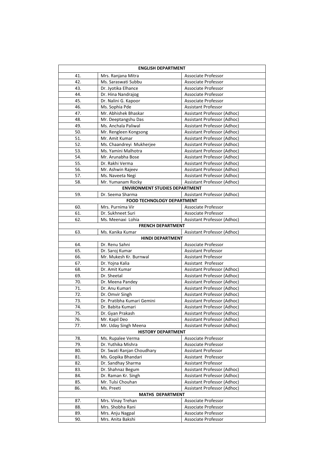| <b>ENGLISH DEPARTMENT</b> |                                       |                                                    |  |  |
|---------------------------|---------------------------------------|----------------------------------------------------|--|--|
| 41.                       | Mrs. Ranjana Mitra                    | Associate Professor                                |  |  |
| 42.                       | Ms. Saraswati Subbu                   | Associate Professor                                |  |  |
| 43.                       | Dr. Jyotika Elhance                   | Associate Professor                                |  |  |
| 44.                       | Dr. Hina Nandrajog                    | Associate Professor                                |  |  |
| 45.                       | Dr. Nalini G. Kapoor                  | Associate Professor                                |  |  |
| 46.                       | Ms. Sophia Pde                        | Assistant Professor                                |  |  |
| 47.                       | Mr. Abhishek Bhaskar                  | Assistant Professor (Adhoc)                        |  |  |
| 48.                       | Mr. Deeptangshu Das                   | Assistant Professor (Adhoc)                        |  |  |
| 49.                       | Ms. Anchala Paliwal                   | <b>Assistant Professor (Adhoc)</b>                 |  |  |
| 50.                       | Mr. Rengleen Kongsong                 | Assistant Professor (Adhoc)                        |  |  |
| 51.                       | Mr. Amit Kumar                        | Assistant Professor (Adhoc)                        |  |  |
| 52.                       | Ms. Chaandreyi Mukherjee              | Assistant Professor (Adhoc)                        |  |  |
| 53.                       | Ms. Yamini Malhotra                   | Assistant Professor (Adhoc)                        |  |  |
| 54.                       | Mr. Arunabha Bose                     | Assistant Professor (Adhoc)                        |  |  |
| 55.                       | Dr. Rakhi Verma                       | Assistant Professor (Adhoc)                        |  |  |
| 56.                       | Mr. Ashwin Rajeev                     | Assistant Professor (Adhoc)                        |  |  |
| 57.                       | Ms. Naveeta Negi                      | Assistant Professor (Adhoc)                        |  |  |
| 58.                       | Mr. Yumanam Rocky                     | Assistant Professor (Adhoc)                        |  |  |
|                           | <b>ENVIRONMENT STUDIES DEPARTMENT</b> |                                                    |  |  |
| 59.                       | Dr. Seema Sharma                      | Assistant Professor (Adhoc)                        |  |  |
|                           | <b>FOOD TECHNOLOGY DEPARTMENT</b>     |                                                    |  |  |
| 60.                       | Mrs. Purnima Vir                      | Associate Professor                                |  |  |
| 61.                       | Dr. Sukhneet Suri                     | Associate Professor                                |  |  |
| 62.                       | Ms. Meenaxi Lohia                     | Assistant Professor (Adhoc)                        |  |  |
|                           | <b>FRENCH DEPARTMENT</b>              |                                                    |  |  |
| 63.                       | Ms. Kanika Kumar                      | Assistant Professor (Adhoc)                        |  |  |
|                           | <b>HINDI DEPARTMENT</b>               |                                                    |  |  |
| 64.                       | Dr. Renu Sahni                        | Associate Professor                                |  |  |
| 65.                       | Dr. Saroj Kumar                       | Assistant Professor                                |  |  |
| 66.                       | Mr. Mukesh Kr. Burnwal                | Assistant Professor                                |  |  |
| 67.<br>68.                | Dr. Yojna Kalia<br>Dr. Amit Kumar     | Assistant Professor<br>Assistant Professor (Adhoc) |  |  |
| 69.                       | Dr. Sheetal                           | Assistant Professor (Adhoc)                        |  |  |
| 70.                       | Dr. Meena Pandey                      | Assistant Professor (Adhoc)                        |  |  |
| 71.                       | Dr. Anu Kumari                        | Assistant Professor (Adhoc)                        |  |  |
| 72.                       | Dr. Omvir Singh                       | Assistant Professor (Adhoc)                        |  |  |
| 73.                       | Dr. Pratibha Kumari Gemini            | Assistant Professor (Adhoc)                        |  |  |
| 74.                       | Dr. Babita Kumari                     | Assistant Professor (Adhoc)                        |  |  |
| 75.                       | Dr. Gyan Prakash                      | Assistant Professor (Adhoc)                        |  |  |
| 76.                       | Mr. Kapil Deo                         | Assistant Professor (Adhoc)                        |  |  |
| 77.                       | Mr. Uday Singh Meena                  | Assistant Professor (Adhoc)                        |  |  |
|                           | <b>HISTORY DEPARTMENT</b>             |                                                    |  |  |
| 78.                       | Ms. Rupalee Verma                     | Associate Professor                                |  |  |
| 79.                       | Dr. Yuthika Mishra                    | Associate Professor                                |  |  |
| 80.                       | Dr. Swati Ranjan Choudhary            | <b>Assistant Professor</b>                         |  |  |
| 81.                       | Ms. Gopika Bhandari                   | Assistant Professor                                |  |  |
| 82.                       | Dr. Sandhay Sharma                    | Assistant Professor                                |  |  |
| 83.                       | Dr. Shahnaz Begum                     | Assistant Professor (Adhoc)                        |  |  |
| 84.                       | Dr. Raman Kr. Singh                   | Assistant Professor (Adhoc)                        |  |  |
| 85.                       | Mr. Tulsi Chouhan                     | Assistant Professor (Adhoc)                        |  |  |
| 86.                       | Ms. Preeti                            | Assistant Professor (Adhoc)                        |  |  |
|                           | <b>MATHS DEPARTMENT</b>               |                                                    |  |  |
| 87.                       | Mrs. Vinay Trehan                     | Associate Professor                                |  |  |
| 88.                       | Mrs. Shobha Rani                      | Associate Professor                                |  |  |
| 89.                       | Mrs. Anju Nagpal                      | Associate Professor                                |  |  |
| 90.                       | Mrs. Anita Bakshi                     | Associate Professor                                |  |  |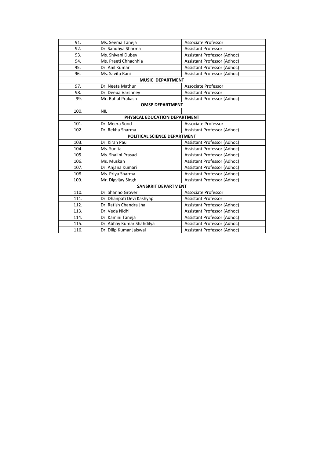| Ms. Seema Taneja<br>91.      |                               | Associate Professor         |  |  |  |
|------------------------------|-------------------------------|-----------------------------|--|--|--|
| 92.                          | Dr. Sandhya Sharma            | <b>Assistant Professor</b>  |  |  |  |
| 93.                          | Ms. Shivani Dubey             | Assistant Professor (Adhoc) |  |  |  |
| 94.                          | Ms. Preeti Chhachhia          | Assistant Professor (Adhoc) |  |  |  |
| 95.                          | Dr. Anil Kumar                | Assistant Professor (Adhoc) |  |  |  |
| 96.                          | Ms. Savita Rani               | Assistant Professor (Adhoc) |  |  |  |
|                              | <b>MUSIC DEPARTMENT</b>       |                             |  |  |  |
| 97.                          | Dr. Neeta Mathur              | Associate Professor         |  |  |  |
| 98.                          | Dr. Deepa Varshney            | <b>Assistant Professor</b>  |  |  |  |
| 99.                          | Mr. Rahul Prakash             | Assistant Professor (Adhoc) |  |  |  |
|                              | <b>OMSP DEPARTMENT</b>        |                             |  |  |  |
| 100.                         | <b>NIL</b>                    |                             |  |  |  |
|                              | PHYSICAL EDUCATION DEPARTMENT |                             |  |  |  |
| 101.                         | Dr. Meera Sood                | <b>Associate Professor</b>  |  |  |  |
| 102.                         | Dr. Rekha Sharma              | Assistant Professor (Adhoc) |  |  |  |
| POLITICAL SCIENCE DEPARTMENT |                               |                             |  |  |  |
| 103.                         | Dr. Kiran Paul                | Assistant Professor (Adhoc) |  |  |  |
| 104.                         | Ms. Sunita                    | Assistant Professor (Adhoc) |  |  |  |
| 105.                         | Ms. Shalini Prasad            | Assistant Professor (Adhoc) |  |  |  |
| 106.                         | Ms. Muskan                    | Assistant Professor (Adhoc) |  |  |  |
| 107.                         | Dr. Anjana Kumari             | Assistant Professor (Adhoc) |  |  |  |
| 108.                         | Ms. Priya Sharma              | Assistant Professor (Adhoc) |  |  |  |
| 109.                         | Mr. Digvijay Singh            | Assistant Professor (Adhoc) |  |  |  |
|                              | <b>SANSKRIT DEPARTMENT</b>    |                             |  |  |  |
| 110.                         | Dr. Shanno Grover             | Associate Professor         |  |  |  |
| 111.                         | Dr. Dhanpati Devi Kashyap     | <b>Assistant Professor</b>  |  |  |  |
| 112.                         | Dr. Ratish Chandra Jha        | Assistant Professor (Adhoc) |  |  |  |
| 113.                         | Dr. Veda Nidhi                | Assistant Professor (Adhoc) |  |  |  |
| 114.                         | Dr. Kamini Taneja             | Assistant Professor (Adhoc) |  |  |  |
| 115.                         | Dr. Abhay Kumar Shahdilya     | Assistant Professor (Adhoc) |  |  |  |
| 116.                         | Dr. Dilip Kumar Jaiswal       | Assistant Professor (Adhoc) |  |  |  |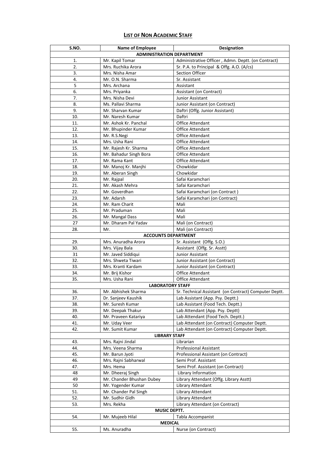## **LIST OF NON ACADEMIC STAFF**

| S.NO.                            | <b>Name of Employee</b><br><b>Designation</b> |                                                           |  |  |  |  |
|----------------------------------|-----------------------------------------------|-----------------------------------------------------------|--|--|--|--|
| <b>ADMINISTRATION DEPARTMENT</b> |                                               |                                                           |  |  |  |  |
| 1.                               | Mr. Kapil Tomar                               | Administrative Officer, Admn. Deptt. (on Contract)        |  |  |  |  |
| 2.                               | Mrs. Ruchika Arora                            | Sr. P.A. to Principal & Offg. A.O. (A/cs)                 |  |  |  |  |
| 3.                               | Mrs. Nisha Amar                               | Section Officer                                           |  |  |  |  |
| 4.                               | Mr. O.N. Sharma                               | Sr. Assistant                                             |  |  |  |  |
| 5                                | Mrs. Archana                                  | Assistant                                                 |  |  |  |  |
| 6.                               | Mrs. Priyanka                                 | Assistant (on Contract)                                   |  |  |  |  |
| 7.                               | Mrs. Nisha Devi                               | Junior Assistant                                          |  |  |  |  |
| 8.                               | Ms. Pallavi Sharma                            | Junior Assistant (on Contract)                            |  |  |  |  |
| 9.                               | Mr. Sharvan Kumar                             | Daftri (Offg. Junior Assistant)                           |  |  |  |  |
| 10.                              | Mr. Naresh Kumar                              | Daftri                                                    |  |  |  |  |
| 11.                              | Mr. Ashok Kr. Panchal                         | <b>Office Attendant</b>                                   |  |  |  |  |
| 12.                              | Mr. Bhupinder Kumar                           | <b>Office Attendant</b>                                   |  |  |  |  |
| 13.                              | Mr. R.S.Negi                                  | Office Attendant                                          |  |  |  |  |
| 14.                              | Mrs. Usha Rani                                | <b>Office Attendant</b>                                   |  |  |  |  |
| 15.                              | Mr. Rajesh Kr. Sharma                         | <b>Office Attendant</b>                                   |  |  |  |  |
| 16.                              | Mr. Bahadur Singh Bora                        | <b>Office Attendant</b>                                   |  |  |  |  |
| 17.                              | Mr. Rama Kant                                 | <b>Office Attendant</b>                                   |  |  |  |  |
| 18.                              | Mr. Manoj Kr. Manjhi                          | Chowkidar                                                 |  |  |  |  |
| 19.                              | Mr. Aberan Singh                              | Chowkidar                                                 |  |  |  |  |
| 20.                              | Mr. Rajpal                                    | Safai Karamchari                                          |  |  |  |  |
| 21.                              | Mr. Akash Mehra                               | Safai Karamchari                                          |  |  |  |  |
| 22.                              | Mr. Goverdhan                                 | Safai Karamchari (on Contract)                            |  |  |  |  |
| 23.                              | Mr. Adarsh                                    | Safai Karamchari (on Contract)                            |  |  |  |  |
| 24.                              | Mr. Ram Charit                                | Mali                                                      |  |  |  |  |
| 25.                              | Mr. Praduman                                  | Mali                                                      |  |  |  |  |
| 26.                              | Mr. Mangal Dass                               | Mali                                                      |  |  |  |  |
| 27                               | Mr. Dharam Pal Yadav                          | Mali (on Contract)                                        |  |  |  |  |
| 28.                              | Mr.                                           | Mali (on Contract)                                        |  |  |  |  |
|                                  | <b>ACCOUNTS DEPARTMENT</b>                    |                                                           |  |  |  |  |
| 29.                              | Mrs. Anuradha Arora                           | Sr. Assistant (Offg. S.O.)                                |  |  |  |  |
| 30.                              | Mrs. Vijay Bala                               | Assistant (Offg. Sr. Asstt)                               |  |  |  |  |
| 31                               | Mr. Javed Siddiqui                            | Junior Assistant                                          |  |  |  |  |
| 32.                              | Mrs. Shweta Tiwari                            | Junior Assistant (on Contract)                            |  |  |  |  |
| 33.                              | Mrs. Kranti Kardam<br>Mr. Brij Kishor         | Junior Assistant (on Contract)<br><b>Office Attendant</b> |  |  |  |  |
| 34.<br>35.                       | Mrs. Usha Rani                                | Office Attendant                                          |  |  |  |  |
|                                  | <b>LABORATORY STAFF</b>                       |                                                           |  |  |  |  |
| 36.                              | Mr. Abhishek Sharma                           | Sr. Technical Assistant (on Contract) Computer Deptt.     |  |  |  |  |
| 37.                              | Dr. Sanjeev Kaushik                           | Lab Assistant (App. Psy. Deptt.)                          |  |  |  |  |
| 38.                              | Mr. Suresh Kumar                              | Lab Assistant (Food Tech. Deptt.)                         |  |  |  |  |
| 39.                              | Mr. Deepak Thakur                             | Lab Attendant (App. Psy. Deptt)                           |  |  |  |  |
| 40.                              | Mr. Praveen Katariya                          | Lab Attendant (Food Tech. Deptt.)                         |  |  |  |  |
| 41.                              | Mr. Uday Veer                                 | Lab Attendant (on Contract) Computer Deptt.               |  |  |  |  |
| 42.                              | Mr. Sumit Kumar                               | Lab Attendant (on Contract) Computer Deptt.               |  |  |  |  |
|                                  | <b>LIBRARY STAFF</b>                          |                                                           |  |  |  |  |
| 43.                              | Mrs. Rajni Jindal                             | Librarian                                                 |  |  |  |  |
| 44.                              | Mrs. Veena Sharma                             | <b>Professional Assistant</b>                             |  |  |  |  |
| 45.                              | Mr. Barun Jyoti                               | Professional Assistant (on Contract)                      |  |  |  |  |
| 46.                              | Mrs. Rajni Sabharwal                          | Semi Prof. Assistant                                      |  |  |  |  |
| 47.                              | Mrs. Hema                                     | Semi Prof. Assistant (on Contract)                        |  |  |  |  |
| 48                               | Mr. Dheeraj Singh                             | Library Information                                       |  |  |  |  |
| 49                               | Mr. Chander Bhushan Dubey                     | Library Attendant (Offg. Library Asstt)                   |  |  |  |  |
| 50                               | Mr. Yogender Kumar                            | Library Attendant                                         |  |  |  |  |
| 51.                              | Mr. Chander Pal Singh                         | Library Attendant                                         |  |  |  |  |
| 52.                              | Mr. Sudhir Gidh                               | Library Attendant                                         |  |  |  |  |
| 53.                              | Mrs. Rekha                                    | Library Attendant (on Contract)                           |  |  |  |  |
|                                  | <b>MUSIC DEPTT.</b>                           |                                                           |  |  |  |  |
| 54.                              | Mr. Mujeeb Hilal                              | Tabla Accompanist                                         |  |  |  |  |
|                                  | <b>MEDICAL</b>                                |                                                           |  |  |  |  |
| 55.                              | Ms. Anuradha                                  | Nurse (on Contract)                                       |  |  |  |  |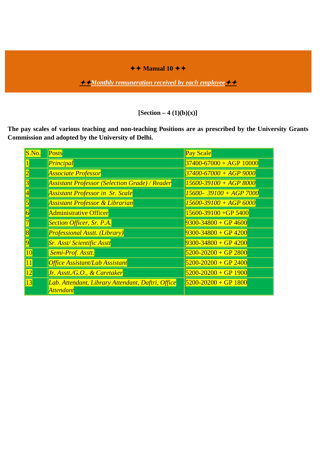$\leftrightarrow$  Manual 10  $\leftrightarrow$ 

**<u>★★Monthly remuneration received by each employee ★★</u>** 

**[Section – 4 (1)(b)(x)]**

**The pay scales of various teaching and non-teaching Positions are as prescribed by the University Grants Commission and adopted by the University of Delhi.**

| S.No.                   | <b>Posts</b>                                                   | <b>Pay Scale</b>            |
|-------------------------|----------------------------------------------------------------|-----------------------------|
|                         | Principal                                                      | $37400 - 67000 + AGP$ 10000 |
| $\overline{2}$          | <b>Associate Professor</b>                                     | $37400 - 67000 + AGP9000$   |
| $\overline{\mathbf{3}}$ | <b>Assistant Professor (Selection Grade) / Reader</b>          | $15600 - 39100 + AGP 8000$  |
| $\overline{\mathbf{4}}$ | <b>Assistant Professor in Sr. Scale</b>                        | $15600 - 39100 + AGP 7000$  |
| $\overline{\mathbf{5}}$ | <b>Assistant Professor &amp; Librarian</b>                     | $15600 - 39100 + AGP6000$   |
| $\overline{6}$          | <b>Administrative Officer</b>                                  | $15600 - 39100 + GP$ 5400   |
| $\overline{7}$          | <b>Section Officer, Sr. P.A.</b>                               | $9300 - 34800 + GP$ 4600    |
| $\overline{\mathbf{8}}$ | <b>Professional Asstt. (Library)</b>                           | $9300 - 34800 + GP$ 4200    |
| $\overline{9}$          | <b>Sr. Asst/Scientific Asstt</b>                               | $9300 - 34800 + GP$ 4200    |
| 10                      | Semi-Prof. Asstt.                                              | $5200 - 20200 + GP$ 2800    |
| 11                      | <b>Office Assistant/Lab Assistant</b>                          | $5200 - 20200 + GP$ 2400    |
| 12                      | Jr. Asstt./G.O., & Caretaker                                   | $5200 - 20200 + GP$ 1900    |
| 13                      | Lab. Attendant, Library Attendant, Daftri, Office<br>Attendant | $5200 - 20200 + GP$ 1800    |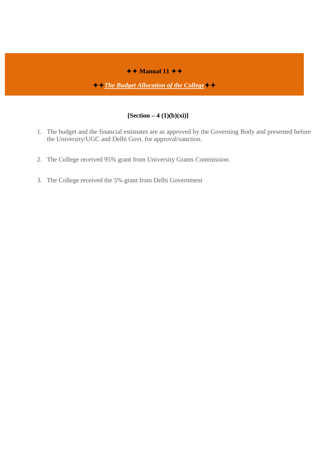# $\overline{+}$  Manual 11  $\overline{+}$

*<u>★ ↑The Budget Allocation of the College</u>* 

## **[Section – 4 (1)(b)(xi)]**

- 1. The budget and the financial estimates are as approved by the Governing Body and presented before the University/UGC and Delhi Govt. for approval/sanction.
- 2. The College received 95% grant from University Grants Commission.
- 3. The College received the 5% grant from Delhi Government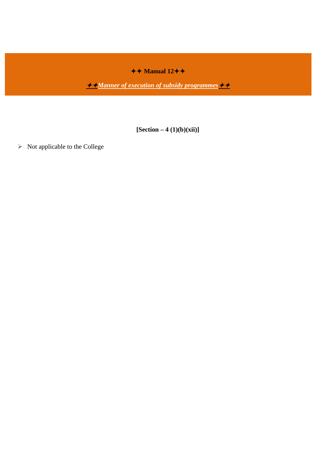$\leftrightarrow$  Manual 12 $\leftrightarrow$ 

*<u>Manner of execution of subsidy programmes*</u>

**[Section – 4 (1)(b)(xii)]**

 $\triangleright$  Not applicable to the College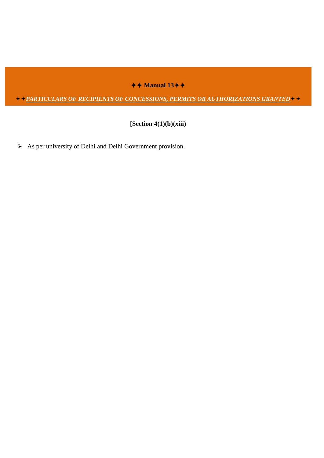$\leftrightarrow$  Manual 13 $\leftrightarrow$ 

*PARTICULARS OF RECIPIENTS OF CONCESSIONS, PERMITS OR AUTHORIZATIONS GRANTED*

**[Section 4(1)(b)(xiii)**

 $\triangleright$  As per university of Delhi and Delhi Government provision.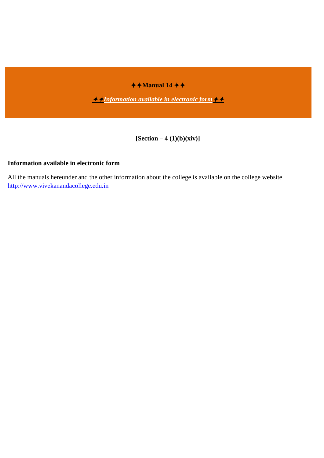$\rightarrow$  **Manual 14**  $\rightarrow$ 

*Information available in electronic form*

**[Section – 4 (1)(b)(xiv)]**

## **Information available in electronic form**

All the manuals hereunder and the other information about the college is available on the college website [http://www.vivekanandacollege.edu.in](http://www.vivekanandacollege.edu.in/)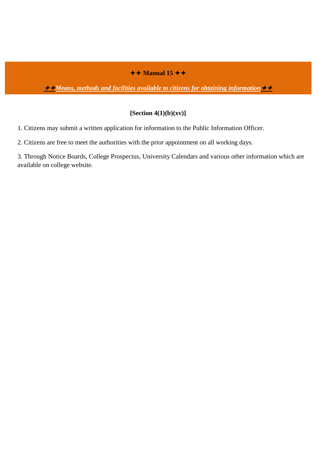# $\leftrightarrow$  Manual 15  $\leftrightarrow$

# *Means, methods and facilities available to citizens for obtaining information*

## **[Section 4(1)(b)(xv)]**

1. Citizens may submit a written application for information to the Public Information Officer.

2. Citizens are free to meet the authorities with the prior appointment on all working days.

3. Through Notice Boards, College Prospectus, University Calendars and various other information which are available on college website.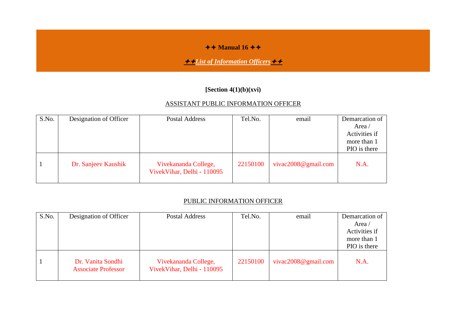## $\leftrightarrow$  Manual 16  $\leftrightarrow$

# **<del></del><del></del> <del></del>∠</del>** *List of Information Officers*

## **[Section 4(1)(b)(xvi)**

## ASSISTANT PUBLIC INFORMATION OFFICER

| S.No. | Designation of Officer | <b>Postal Address</b>                              | Tel.No.  | email                   | Demarcation of |
|-------|------------------------|----------------------------------------------------|----------|-------------------------|----------------|
|       |                        |                                                    |          |                         | Area /         |
|       |                        |                                                    |          |                         | Activities if  |
|       |                        |                                                    |          |                         | more than 1    |
|       |                        |                                                    |          |                         | PIO is there   |
|       | Dr. Sanjeev Kaushik    | Vivekananda College,<br>VivekVihar, Delhi - 110095 | 22150100 | vivac $2008@$ gmail.com | N.A.           |

## PUBLIC INFORMATION OFFICER

| S.No. | Designation of Officer                          | Postal Address                                     | Tel.No.  | email                   | Demarcation of |
|-------|-------------------------------------------------|----------------------------------------------------|----------|-------------------------|----------------|
|       |                                                 |                                                    |          |                         | Area /         |
|       |                                                 |                                                    |          |                         | Activities if  |
|       |                                                 |                                                    |          |                         | more than 1    |
|       |                                                 |                                                    |          |                         | PIO is there   |
|       | Dr. Vanita Sondhi<br><b>Associate Professor</b> | Vivekananda College,<br>VivekVihar, Delhi - 110095 | 22150100 | vivac $2008@$ gmail.com | N.A.           |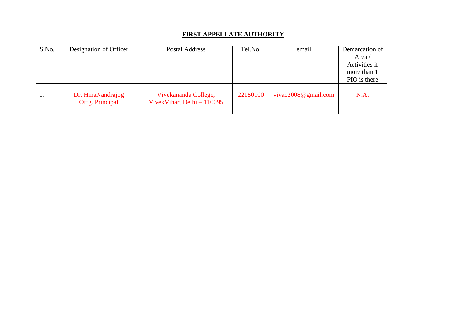## **FIRST APPELLATE AUTHORITY**

| S.No. | Designation of Officer               | Postal Address                                      | Tel.No.  | email                   | Demarcation of |
|-------|--------------------------------------|-----------------------------------------------------|----------|-------------------------|----------------|
|       |                                      |                                                     |          |                         | Area /         |
|       |                                      |                                                     |          |                         | Activities if  |
|       |                                      |                                                     |          |                         | more than 1    |
|       |                                      |                                                     |          |                         | PIO is there   |
| 1.    | Dr. HinaNandrajog<br>Offg. Principal | Vivekananda College,<br>VivekVihar, Delhi $-110095$ | 22150100 | vivac $2008@$ gmail.com | N.A.           |